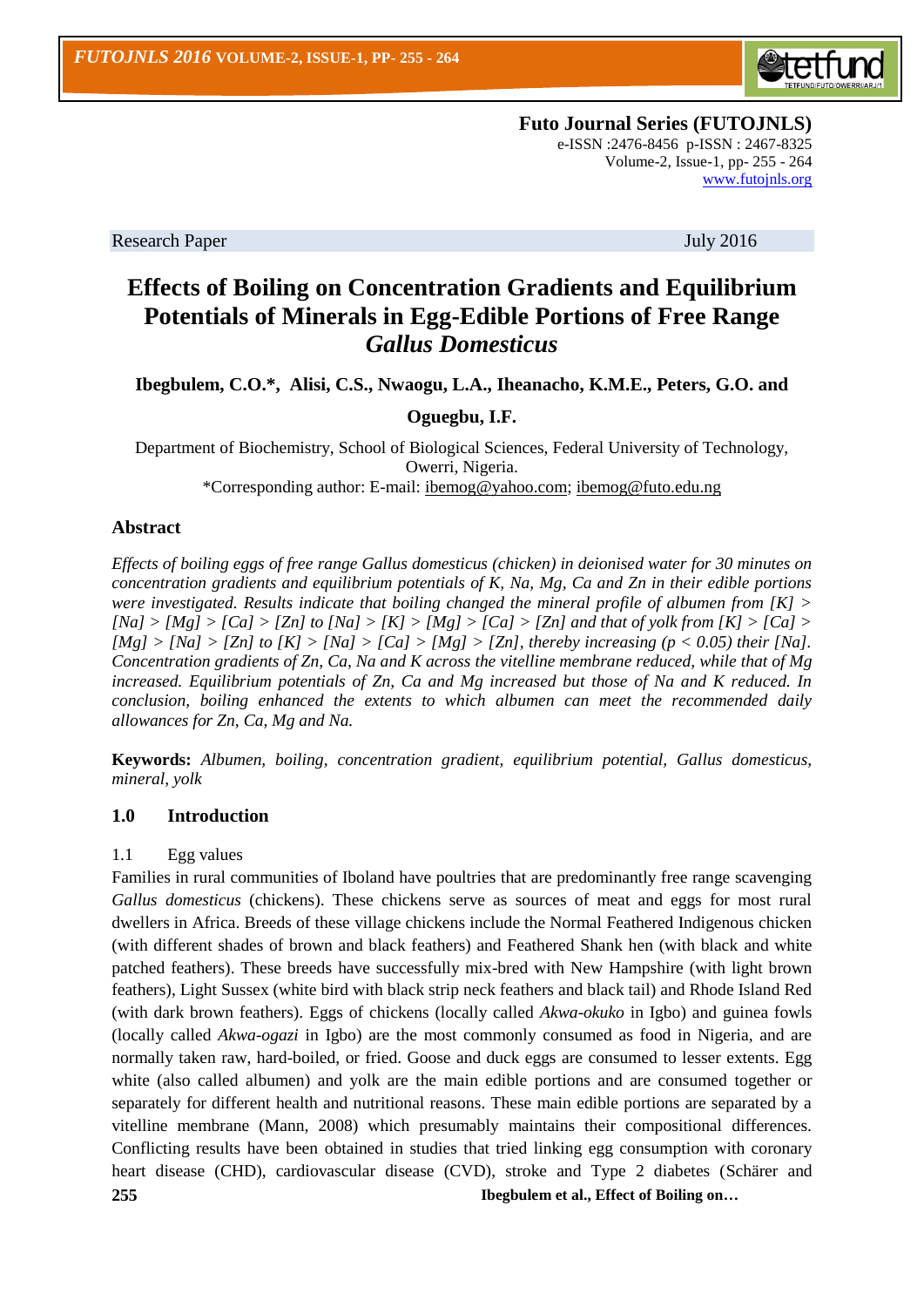

**Futo Journal Series (FUTOJNLS)** e-ISSN :2476-8456 p-ISSN : 2467-8325 Volume-2, Issue-1, pp- 255 - 264 [www.futojnls.org](http://www.futojnls.org/)

Research Paper July 2016

# **Effects of Boiling on Concentration Gradients and Equilibrium Potentials of Minerals in Egg-Edible Portions of Free Range**  *Gallus Domesticus*

**Ibegbulem, C.O.\*, Alisi, C.S., Nwaogu, L.A., Iheanacho, K.M.E., Peters, G.O. and** 

# **Oguegbu, I.F.**

Department of Biochemistry, School of Biological Sciences, Federal University of Technology, Owerri, Nigeria. \*Corresponding author: E-mail: [ibemog@yahoo.com;](mailto:ibemog@yahoo.com) [ibemog@futo.edu.ng](mailto:ibemog@futo.edu.ng)

### **Abstract**

*Effects of boiling eggs of free range Gallus domesticus (chicken) in deionised water for 30 minutes on concentration gradients and equilibrium potentials of K, Na, Mg, Ca and Zn in their edible portions were investigated. Results indicate that boiling changed the mineral profile of albumen from [K] >*   $[Na] > [Mg] > [Ca] > [Zn]$  to  $[Na] > [K] > [Mg] > [Ca] > [Zn]$  and that of yolk from  $[K] > [Ca] >$  $[Mg] > [Na] > [Zn]$  to  $[K] > [Na] > [Ca] > [Mg] > [Zn]$ , thereby increasing (p < 0.05) their [Na]. *Concentration gradients of Zn, Ca, Na and K across the vitelline membrane reduced, while that of Mg increased. Equilibrium potentials of Zn, Ca and Mg increased but those of Na and K reduced. In conclusion, boiling enhanced the extents to which albumen can meet the recommended daily allowances for Zn, Ca, Mg and Na.*

**Keywords:** *Albumen, boiling, concentration gradient, equilibrium potential, Gallus domesticus, mineral, yolk*

### **1.0 Introduction**

#### 1.1 Egg values

**255 Ibegbulem et al., Effect of Boiling on…** Families in rural communities of Iboland have poultries that are predominantly free range scavenging *Gallus domesticus* (chickens). These chickens serve as sources of meat and eggs for most rural dwellers in Africa. Breeds of these village chickens include the Normal Feathered Indigenous chicken (with different shades of brown and black feathers) and Feathered Shank hen (with black and white patched feathers). These breeds have successfully mix-bred with New Hampshire (with light brown feathers), Light Sussex (white bird with black strip neck feathers and black tail) and Rhode Island Red (with dark brown feathers). Eggs of chickens (locally called *Akwa-okuko* in Igbo) and guinea fowls (locally called *Akwa-ogazi* in Igbo) are the most commonly consumed as food in Nigeria, and are normally taken raw, hard-boiled, or fried. Goose and duck eggs are consumed to lesser extents. Egg white (also called albumen) and yolk are the main edible portions and are consumed together or separately for different health and nutritional reasons. These main edible portions are separated by a vitelline membrane (Mann, 2008) which presumably maintains their compositional differences. Conflicting results have been obtained in studies that tried linking egg consumption with coronary heart disease (CHD), cardiovascular disease (CVD), stroke and Type 2 diabetes (Schärer and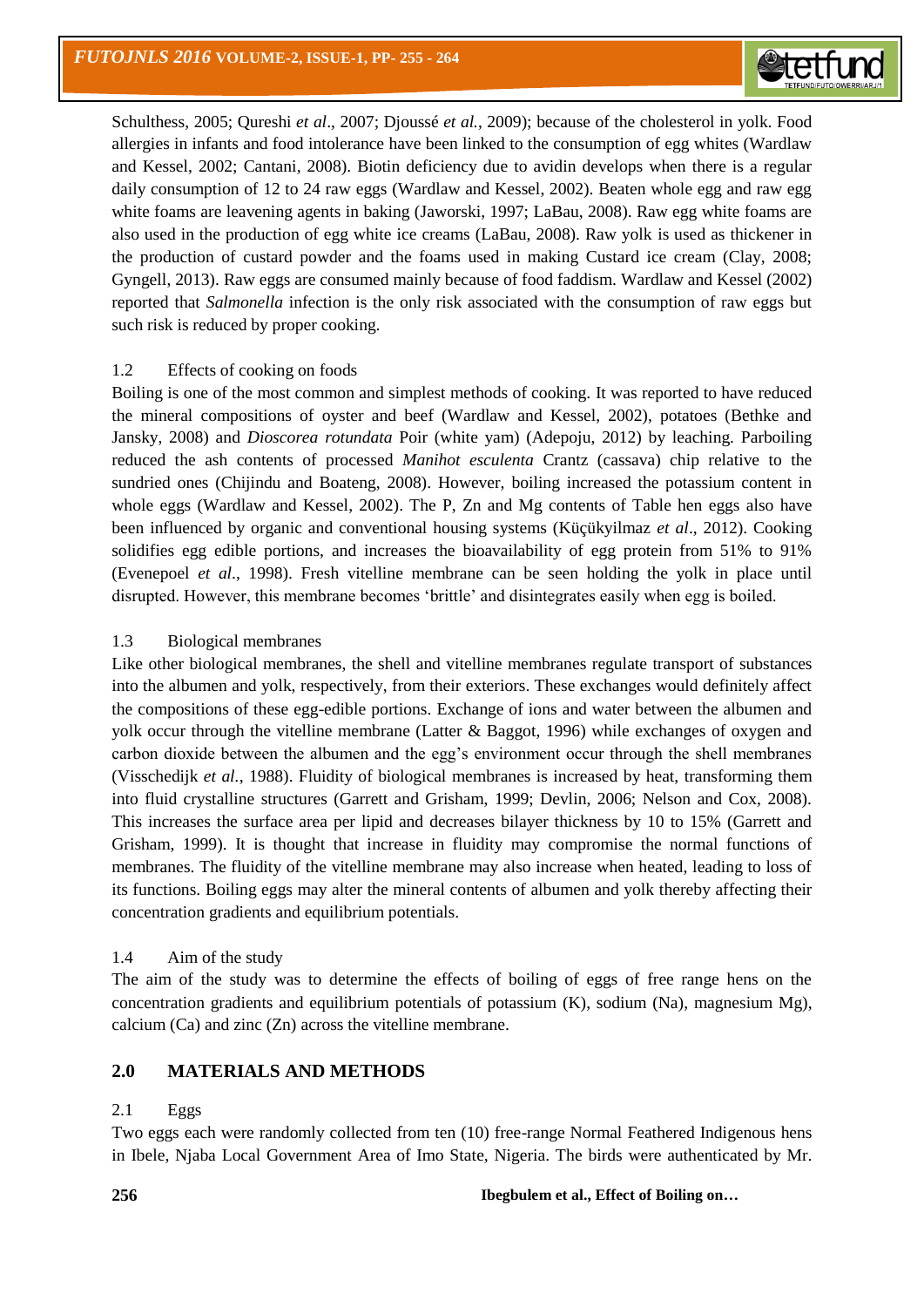

Schulthess, 2005; Qureshi *et al*., 2007; Djoussé *et al.*, 2009); because of the cholesterol in yolk. Food allergies in infants and food intolerance have been linked to the consumption of egg whites (Wardlaw and Kessel, 2002; Cantani, 2008). Biotin deficiency due to avidin develops when there is a regular daily consumption of 12 to 24 raw eggs (Wardlaw and Kessel, 2002). Beaten whole egg and raw egg white foams are leavening agents in baking (Jaworski, 1997; LaBau, 2008). Raw egg white foams are also used in the production of egg white ice creams (LaBau, 2008). Raw yolk is used as thickener in the production of custard powder and the foams used in making Custard ice cream (Clay, 2008; Gyngell, 2013). Raw eggs are consumed mainly because of food faddism. Wardlaw and Kessel (2002) reported that *Salmonella* infection is the only risk associated with the consumption of raw eggs but such risk is reduced by proper cooking.

### 1.2 Effects of cooking on foods

Boiling is one of the most common and simplest methods of cooking. It was reported to have reduced the mineral compositions of oyster and beef (Wardlaw and Kessel, 2002), potatoes (Bethke and Jansky, 2008) and *Dioscorea rotundata* Poir (white yam) (Adepoju, 2012) by leaching. Parboiling reduced the ash contents of processed *Manihot esculenta* Crantz (cassava) chip relative to the sundried ones (Chijindu and Boateng, 2008). However, boiling increased the potassium content in whole eggs (Wardlaw and Kessel, 2002). The P, Zn and Mg contents of Table hen eggs also have been influenced by organic and conventional housing systems (Küçükyilmaz *et al*., 2012). Cooking solidifies egg edible portions, and increases the bioavailability of egg protein from 51% to 91% (Evenepoel *et al*., 1998). Fresh vitelline membrane can be seen holding the yolk in place until disrupted. However, this membrane becomes 'brittle' and disintegrates easily when egg is boiled.

# 1.3 Biological membranes

Like other biological membranes, the shell and vitelline membranes regulate transport of substances into the albumen and yolk, respectively, from their exteriors. These exchanges would definitely affect the compositions of these egg-edible portions. Exchange of ions and water between the albumen and yolk occur through the vitelline membrane (Latter & Baggot, 1996) while exchanges of oxygen and carbon dioxide between the albumen and the egg's environment occur through the shell membranes (Visschedijk *et al.*, 1988). Fluidity of biological membranes is increased by heat, transforming them into fluid crystalline structures (Garrett and Grisham, 1999; Devlin, 2006; Nelson and Cox, 2008). This increases the surface area per lipid and decreases bilayer thickness by 10 to 15% (Garrett and Grisham, 1999). It is thought that increase in fluidity may compromise the normal functions of membranes. The fluidity of the vitelline membrane may also increase when heated, leading to loss of its functions. Boiling eggs may alter the mineral contents of albumen and yolk thereby affecting their concentration gradients and equilibrium potentials.

### 1.4 Aim of the study

The aim of the study was to determine the effects of boiling of eggs of free range hens on the concentration gradients and equilibrium potentials of potassium  $(K)$ , sodium  $(Na)$ , magnesium  $Mg$ ), calcium (Ca) and zinc (Zn) across the vitelline membrane.

# **2.0 MATERIALS AND METHODS**

### 2.1 Eggs

Two eggs each were randomly collected from ten (10) free-range Normal Feathered Indigenous hens in Ibele, Njaba Local Government Area of Imo State, Nigeria. The birds were authenticated by Mr.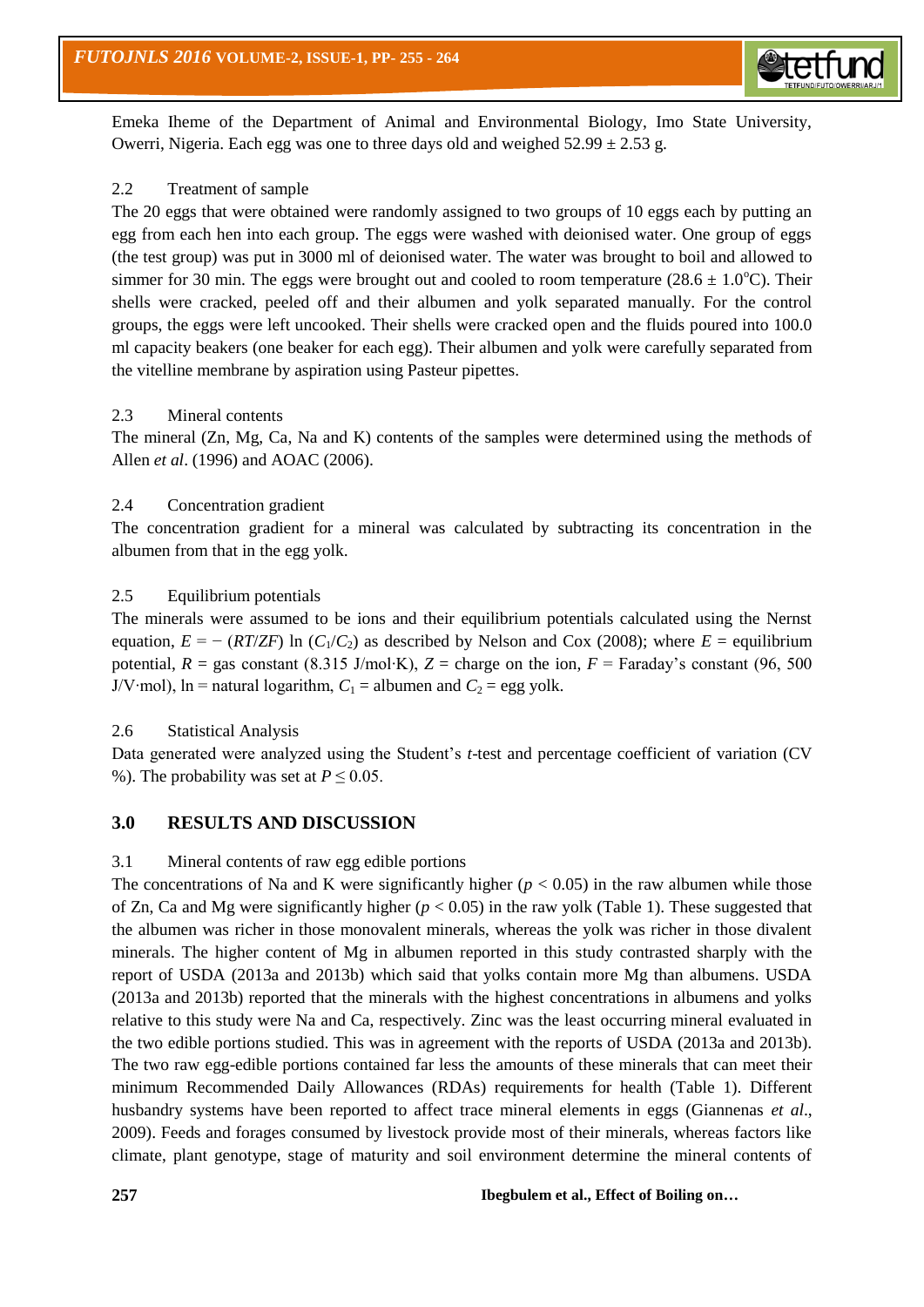

Emeka Iheme of the Department of Animal and Environmental Biology, Imo State University, Owerri, Nigeria. Each egg was one to three days old and weighed  $52.99 \pm 2.53$  g.

# 2.2 Treatment of sample

The 20 eggs that were obtained were randomly assigned to two groups of 10 eggs each by putting an egg from each hen into each group. The eggs were washed with deionised water. One group of eggs (the test group) was put in 3000 ml of deionised water. The water was brought to boil and allowed to simmer for 30 min. The eggs were brought out and cooled to room temperature (28.6  $\pm$  1.0<sup>o</sup>C). Their shells were cracked, peeled off and their albumen and yolk separated manually. For the control groups, the eggs were left uncooked. Their shells were cracked open and the fluids poured into 100.0 ml capacity beakers (one beaker for each egg). Their albumen and yolk were carefully separated from the vitelline membrane by aspiration using Pasteur pipettes.

# 2.3 Mineral contents

The mineral (Zn, Mg, Ca, Na and K) contents of the samples were determined using the methods of Allen *et al*. (1996) and AOAC (2006).

# 2.4 Concentration gradient

The concentration gradient for a mineral was calculated by subtracting its concentration in the albumen from that in the egg yolk.

# 2.5 Equilibrium potentials

The minerals were assumed to be ions and their equilibrium potentials calculated using the Nernst equation,  $E = - (RT/ZF) \ln (C_1/C_2)$  as described by Nelson and Cox (2008); where  $E =$  equilibrium potential,  $R =$  gas constant (8.315 J/mol⋅K),  $Z =$  charge on the ion,  $F =$  Faraday's constant (96, 500) J/V⋅mol), ln = natural logarithm,  $C_1$  = albumen and  $C_2$  = egg yolk.

### 2.6 Statistical Analysis

Data generated were analyzed using the Student's *t*-test and percentage coefficient of variation (CV %). The probability was set at  $P \le 0.05$ .

# **3.0 RESULTS AND DISCUSSION**

### 3.1 Mineral contents of raw egg edible portions

The concentrations of Na and K were significantly higher  $(p < 0.05)$  in the raw albumen while those of Zn, Ca and Mg were significantly higher (*p* < 0.05) in the raw yolk (Table 1). These suggested that the albumen was richer in those monovalent minerals, whereas the yolk was richer in those divalent minerals. The higher content of Mg in albumen reported in this study contrasted sharply with the report of USDA (2013a and 2013b) which said that yolks contain more Mg than albumens. USDA (2013a and 2013b) reported that the minerals with the highest concentrations in albumens and yolks relative to this study were Na and Ca, respectively. Zinc was the least occurring mineral evaluated in the two edible portions studied. This was in agreement with the reports of USDA (2013a and 2013b). The two raw egg-edible portions contained far less the amounts of these minerals that can meet their minimum Recommended Daily Allowances (RDAs) requirements for health (Table 1). Different husbandry systems have been reported to affect trace mineral elements in eggs (Giannenas *et al*., 2009). Feeds and forages consumed by livestock provide most of their minerals, whereas factors like climate, plant genotype, stage of maturity and soil environment determine the mineral contents of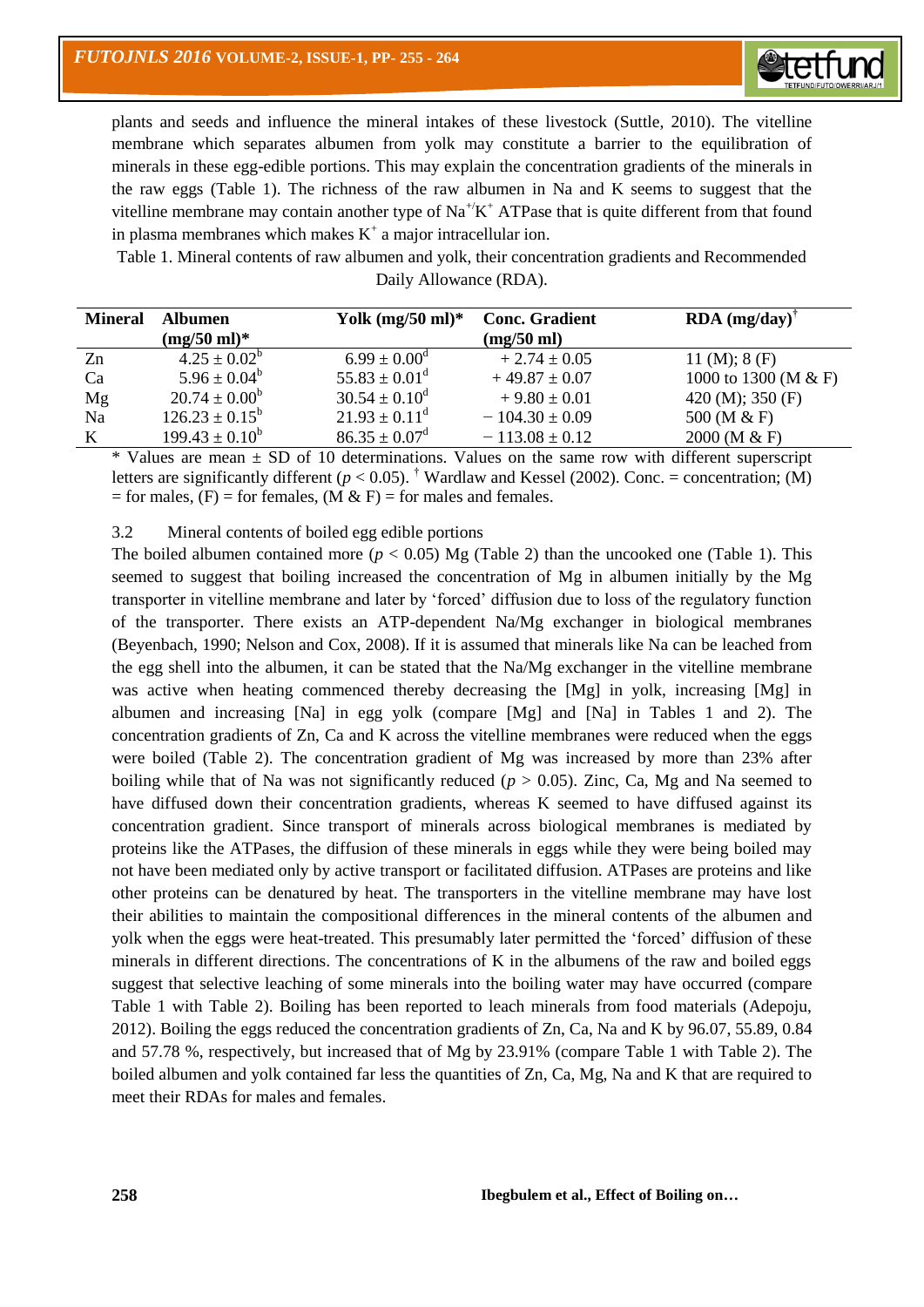

plants and seeds and influence the mineral intakes of these livestock (Suttle, 2010). The vitelline membrane which separates albumen from yolk may constitute a barrier to the equilibration of minerals in these egg-edible portions. This may explain the concentration gradients of the minerals in the raw eggs (Table 1). The richness of the raw albumen in Na and K seems to suggest that the vitelline membrane may contain another type of  $Na^{+\prime}K^{+}ATP$  as that is quite different from that found in plasma membranes which makes  $K^+$  a major intracellular ion.

Table 1. Mineral contents of raw albumen and yolk, their concentration gradients and Recommended Daily Allowance (RDA).

| <b>Mineral</b> | Albumen                   | Yolk $(mg/50 ml)^*$         | <b>Conc. Gradient</b> | $RDA$ (mg/day) <sup>†</sup> |
|----------------|---------------------------|-----------------------------|-----------------------|-----------------------------|
|                | $(mg/50 \text{ ml})^*$    |                             | (mg/50 ml)            |                             |
| Zn             | $4.25 \pm 0.02^b$         | $6.99 \pm 0.00^{\circ}$     | $+2.74 \pm 0.05$      | 11 (M); $8$ (F)             |
| Ca             | $5.96 \pm 0.04^b$         | $55.83 \pm 0.01^{\text{d}}$ | $+49.87 \pm 0.07$     | 1000 to 1300 (M & F)        |
| Mg             | $20.74 \pm 0.00^{\circ}$  | $30.54 \pm 0.10^{\circ}$    | $+9.80 \pm 0.01$      | 420 (M); 350 (F)            |
| Na             | $126.23 \pm 0.15^{\rm b}$ | $21.93 \pm 0.11^d$          | $-104.30 \pm 0.09$    | 500 (M & F)                 |
| $\bf K$        | $199.43 \pm 0.10^b$       | $86.35 \pm 0.07^{\rm d}$    | $-113.08 \pm 0.12$    | 2000 (M & F)                |

 $*$  Values are mean  $\pm$  SD of 10 determinations. Values on the same row with different superscript letters are significantly different ( $p < 0.05$ ). <sup>†</sup> Wardlaw and Kessel (2002). Conc. = concentration; (M) = for males,  $(F)$  = for females,  $(M & F)$  = for males and females.

#### 3.2 Mineral contents of boiled egg edible portions

The boiled albumen contained more ( $p < 0.05$ ) Mg (Table 2) than the uncooked one (Table 1). This seemed to suggest that boiling increased the concentration of Mg in albumen initially by the Mg transporter in vitelline membrane and later by 'forced' diffusion due to loss of the regulatory function of the transporter. There exists an ATP-dependent Na/Mg exchanger in biological membranes (Beyenbach, 1990; Nelson and Cox, 2008). If it is assumed that minerals like Na can be leached from the egg shell into the albumen, it can be stated that the Na/Mg exchanger in the vitelline membrane was active when heating commenced thereby decreasing the [Mg] in yolk, increasing [Mg] in albumen and increasing [Na] in egg yolk (compare [Mg] and [Na] in Tables 1 and 2). The concentration gradients of Zn, Ca and K across the vitelline membranes were reduced when the eggs were boiled (Table 2). The concentration gradient of Mg was increased by more than 23% after boiling while that of Na was not significantly reduced  $(p > 0.05)$ . Zinc, Ca, Mg and Na seemed to have diffused down their concentration gradients, whereas K seemed to have diffused against its concentration gradient. Since transport of minerals across biological membranes is mediated by proteins like the ATPases, the diffusion of these minerals in eggs while they were being boiled may not have been mediated only by active transport or facilitated diffusion. ATPases are proteins and like other proteins can be denatured by heat. The transporters in the vitelline membrane may have lost their abilities to maintain the compositional differences in the mineral contents of the albumen and yolk when the eggs were heat-treated. This presumably later permitted the 'forced' diffusion of these minerals in different directions. The concentrations of K in the albumens of the raw and boiled eggs suggest that selective leaching of some minerals into the boiling water may have occurred (compare Table 1 with Table 2). Boiling has been reported to leach minerals from food materials (Adepoju, 2012). Boiling the eggs reduced the concentration gradients of Zn, Ca, Na and K by 96.07, 55.89, 0.84 and 57.78 %, respectively, but increased that of Mg by 23.91% (compare Table 1 with Table 2). The boiled albumen and yolk contained far less the quantities of Zn, Ca, Mg, Na and K that are required to meet their RDAs for males and females.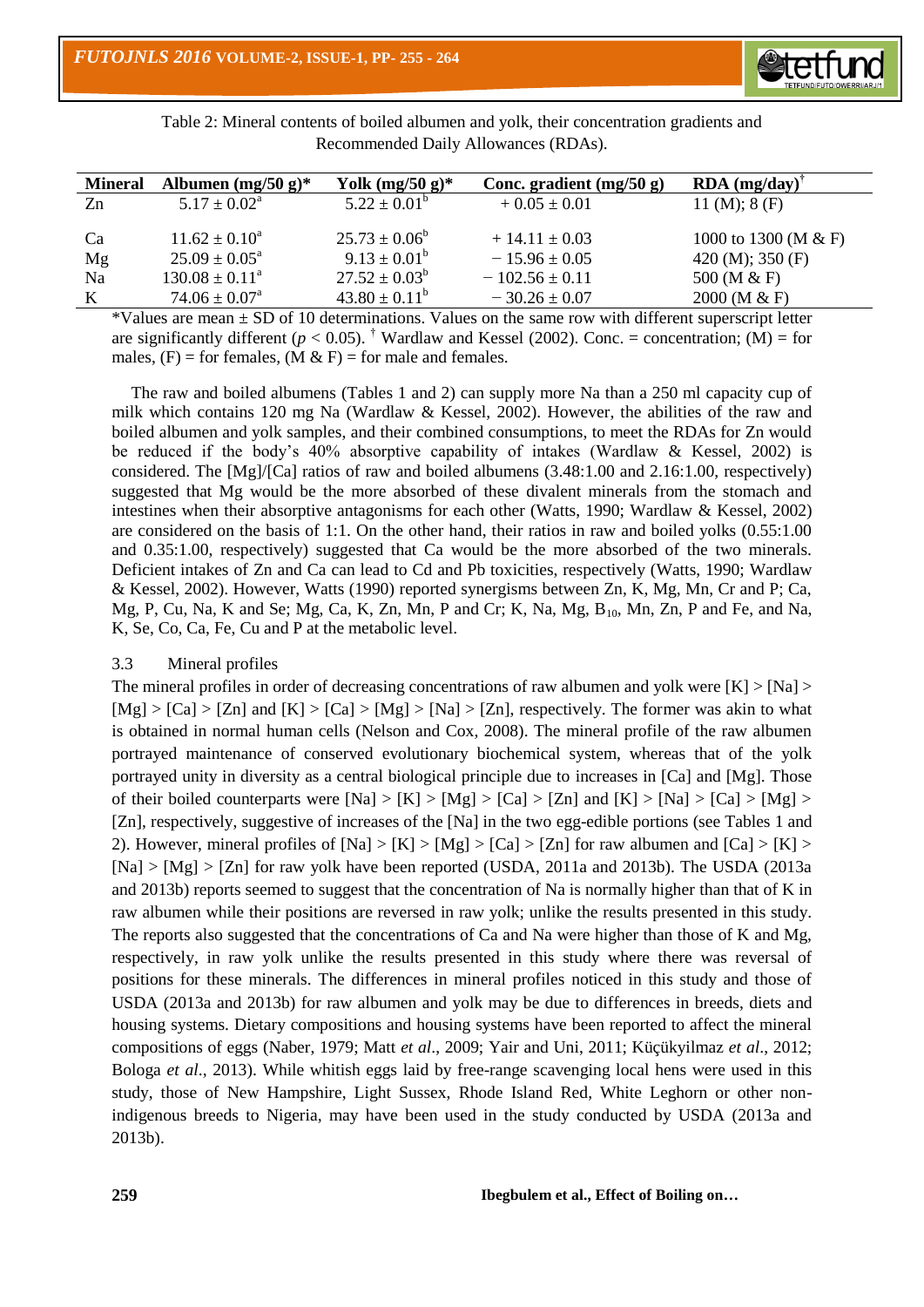

Table 2: Mineral contents of boiled albumen and yolk, their concentration gradients and Recommended Daily Allowances (RDAs).

| <b>Mineral</b> | Albumen $(mg/50 g)^*$       | Yolk $(mg/50 g)^*$       | Conc. gradient $(mg/50 g)$ | <b>RDA</b> $(mg/day)^{\dagger}$ |
|----------------|-----------------------------|--------------------------|----------------------------|---------------------------------|
| Zn             | $5.17 \pm 0.02^{\text{a}}$  | $5.22 \pm 0.01^{\rm b}$  | $+0.05 \pm 0.01$           | 11 (M); $8$ (F)                 |
|                |                             |                          |                            |                                 |
| Ca             | $11.62 \pm 0.10^a$          | $25.73 \pm 0.06^b$       | $+14.11 \pm 0.03$          | 1000 to 1300 (M & F)            |
| Mg             | $25.09 \pm 0.05^{\circ}$    | $9.13 \pm 0.01^b$        | $-15.96 \pm 0.05$          | 420 (M); 350 (F)                |
| Na             | $130.08 \pm 0.11^{\circ}$   | $27.52 \pm 0.03^{\rm b}$ | $-102.56 \pm 0.11$         | 500 (M & F)                     |
| K              | $74.06 \pm 0.07^{\text{a}}$ | $43.80 \pm 0.11^b$       | $-30.26 \pm 0.07$          | $2000$ (M & F)                  |

 $*$ Values are mean  $\pm$  SD of 10 determinations. Values on the same row with different superscript letter are significantly different ( $p < 0.05$ ). <sup>†</sup> Wardlaw and Kessel (2002). Conc. = concentration; (M) = for males,  $(F)$  = for females,  $(M & F)$  = for male and females.

 The raw and boiled albumens (Tables 1 and 2) can supply more Na than a 250 ml capacity cup of milk which contains 120 mg Na (Wardlaw & Kessel, 2002). However, the abilities of the raw and boiled albumen and yolk samples, and their combined consumptions, to meet the RDAs for Zn would be reduced if the body's 40% absorptive capability of intakes (Wardlaw & Kessel, 2002) is considered. The [Mg]/[Ca] ratios of raw and boiled albumens (3.48:1.00 and 2.16:1.00, respectively) suggested that Mg would be the more absorbed of these divalent minerals from the stomach and intestines when their absorptive antagonisms for each other (Watts, 1990; Wardlaw & Kessel, 2002) are considered on the basis of 1:1. On the other hand, their ratios in raw and boiled yolks (0.55:1.00 and 0.35:1.00, respectively) suggested that Ca would be the more absorbed of the two minerals. Deficient intakes of Zn and Ca can lead to Cd and Pb toxicities, respectively (Watts, 1990; Wardlaw & Kessel, 2002). However, Watts (1990) reported synergisms between Zn, K, Mg, Mn, Cr and P; Ca, Mg, P, Cu, Na, K and Se; Mg, Ca, K, Zn, Mn, P and Cr; K, Na, Mg, B10, Mn, Zn, P and Fe, and Na, K, Se, Co, Ca, Fe, Cu and P at the metabolic level.

### 3.3 Mineral profiles

The mineral profiles in order of decreasing concentrations of raw albumen and yolk were  $[K] > [Na] >$  $[Mg] > [Ca] > [Zn]$  and  $[K] > [Ca] > [Mg] > [Na] > [Zn]$ , respectively. The former was akin to what is obtained in normal human cells (Nelson and Cox, 2008). The mineral profile of the raw albumen portrayed maintenance of conserved evolutionary biochemical system, whereas that of the yolk portrayed unity in diversity as a central biological principle due to increases in [Ca] and [Mg]. Those of their boiled counterparts were  $[Na] > [K] > [Mg] > [Ca] > [Zn]$  and  $[K] > [Na] > [Ca] > [Mg] >$ [Zn], respectively, suggestive of increases of the [Na] in the two egg-edible portions (see Tables 1 and 2). However, mineral profiles of  $[Na] > [K] > [Mg] > [Ca] > [Zn]$  for raw albumen and  $[Ca] > [K] >$ [Na] > [Mg] > [Zn] for raw yolk have been reported (USDA, 2011a and 2013b). The USDA (2013a and 2013b) reports seemed to suggest that the concentration of Na is normally higher than that of K in raw albumen while their positions are reversed in raw yolk; unlike the results presented in this study. The reports also suggested that the concentrations of Ca and Na were higher than those of K and Mg, respectively, in raw yolk unlike the results presented in this study where there was reversal of positions for these minerals. The differences in mineral profiles noticed in this study and those of USDA (2013a and 2013b) for raw albumen and yolk may be due to differences in breeds, diets and housing systems. Dietary compositions and housing systems have been reported to affect the mineral compositions of eggs (Naber, 1979; Matt *et al*., 2009; Yair and Uni, 2011; Küçükyilmaz *et al*., 2012; Bologa *et al*., 2013). While whitish eggs laid by free-range scavenging local hens were used in this study, those of New Hampshire, Light Sussex, Rhode Island Red, White Leghorn or other nonindigenous breeds to Nigeria, may have been used in the study conducted by USDA (2013a and 2013b).

**259 Ibegbulem et al., Effect of Boiling on…**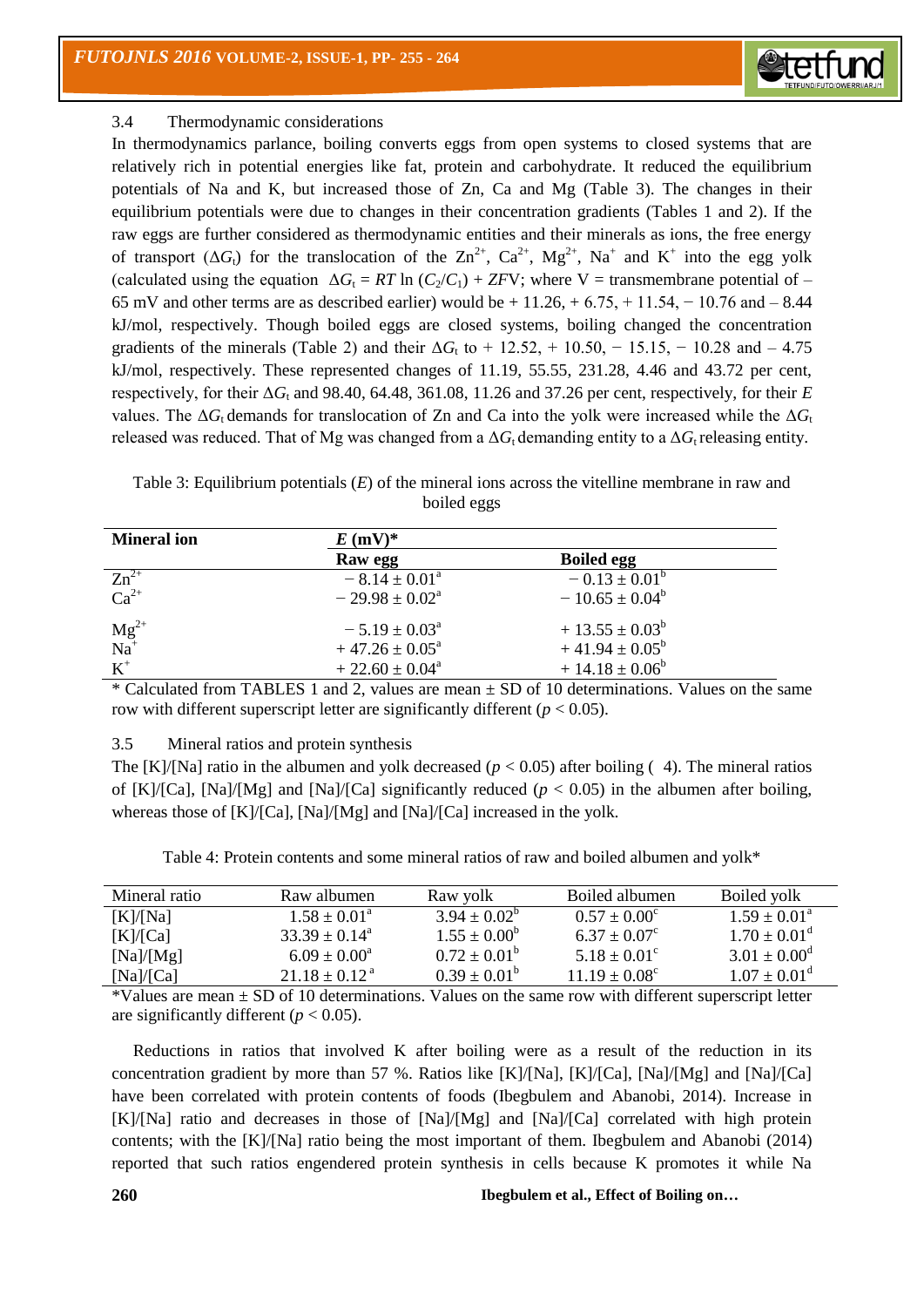

# 3.4 Thermodynamic considerations

In thermodynamics parlance, boiling converts eggs from open systems to closed systems that are relatively rich in potential energies like fat, protein and carbohydrate. It reduced the equilibrium potentials of Na and K, but increased those of Zn, Ca and Mg (Table 3). The changes in their equilibrium potentials were due to changes in their concentration gradients (Tables 1 and 2). If the raw eggs are further considered as thermodynamic entities and their minerals as ions, the free energy of transport ( $\Delta G_t$ ) for the translocation of the  $\rm Zn^{2+}$ ,  $\rm Ca^{2+}$ ,  $\rm Mg^{2+}$ ,  $\rm Na^{+}$  and  $\rm K^{+}$  into the egg yolk (calculated using the equation  $\Delta G_t = RT \ln (C/C_1) + ZFV$ ; where V = transmembrane potential of – 65 mV and other terms are as described earlier) would be  $+11.26, +6.75, +11.54, -10.76$  and  $-8.44$ kJ/mol, respectively. Though boiled eggs are closed systems, boiling changed the concentration gradients of the minerals (Table 2) and their  $\Delta G_t$  to + 12.52, + 10.50, - 15.15, - 10.28 and - 4.75 kJ/mol, respectively. These represented changes of 11.19, 55.55, 231.28, 4.46 and 43.72 per cent, respectively, for their  $\Delta G_t$  and 98.40, 64.48, 361.08, 11.26 and 37.26 per cent, respectively, for their *E* values. The  $\Delta G_t$  demands for translocation of Zn and Ca into the yolk were increased while the  $\Delta G_t$ released was reduced. That of Mg was changed from a  $\Delta G_t$  demanding entity to a  $\Delta G_t$  releasing entity.

Table 3: Equilibrium potentials (*E*) of the mineral ions across the vitelline membrane in raw and boiled eggs

| <b>Mineral ion</b>           | $E$ (mV) <sup>*</sup>        |                           |  |
|------------------------------|------------------------------|---------------------------|--|
|                              | Raw egg                      | <b>Boiled egg</b>         |  |
| $Zn^{2+}$                    | $-8.14 \pm 0.01^a$           | $-0.13 \pm 0.01^{\rm b}$  |  |
| $Ca^{2+}$                    | $-29.98 \pm 0.02^{\text{a}}$ | $-10.65 \pm 0.04^b$       |  |
| $Mg^{2+}$<br>Na <sup>+</sup> | $-5.19 \pm 0.03^{\circ}$     | $+13.55 \pm 0.03^{\circ}$ |  |
|                              | $+47.26 \pm 0.05^{\text{a}}$ | $+41.94 \pm 0.05^b$       |  |
| $K^+$                        | $+22.60 \pm 0.04^a$          | $+14.18 \pm 0.06^b$       |  |

\* Calculated from TABLES 1 and 2, values are mean  $\pm$  SD of 10 determinations. Values on the same row with different superscript letter are significantly different ( $p < 0.05$ ).

# 3.5 Mineral ratios and protein synthesis

The [K]/[Na] ratio in the albumen and yolk decreased ( $p < 0.05$ ) after boiling (4). The mineral ratios of  $[K]/[Ca]$ ,  $[Na]/[Mg]$  and  $[Na]/[Ca]$  significantly reduced ( $p < 0.05$ ) in the albumen after boiling, whereas those of [K]/[Ca], [Na]/[Mg] and [Na]/[Ca] increased in the yolk.

| Table 4: Protein contents and some mineral ratios of raw and boiled albumen and yolk* |  |  |
|---------------------------------------------------------------------------------------|--|--|
|---------------------------------------------------------------------------------------|--|--|

| Mineral ratio | Raw albumen               | Raw volk                | Boiled albumen        | Boiled volk             |
|---------------|---------------------------|-------------------------|-----------------------|-------------------------|
| [K]/[Na]      | $1.58 + 0.01^a$           | $3.94 + 0.02^{\circ}$   | $0.57 + 0.00^{\circ}$ | $1.59 + 0.01^a$         |
| [K]/[Ca]      | $33.39 + 0.14^{\text{a}}$ | $1.55 \pm 0.00^b$       | $6.37 + 0.07^{\circ}$ | $1.70 \pm 0.01^{\circ}$ |
| [Na]/[Mg]     | $6.09 + 0.00^4$           | $0.72 \pm 0.01^{\rm b}$ | $5.18 + 0.01^{\circ}$ | $3.01 + 0.00^{\circ}$   |
| [Na]/[Ca]     | $21.18 + 0.12a$           | $0.39 \pm 0.01^{\circ}$ | $11.19 + 0.08^c$      | $1.07 + 0.01^{\circ}$   |

 $*$ Values are mean  $\pm$  SD of 10 determinations. Values on the same row with different superscript letter are significantly different ( $p < 0.05$ ).

 Reductions in ratios that involved K after boiling were as a result of the reduction in its concentration gradient by more than 57 %. Ratios like  $[K]/[Na]$ ,  $[K]/[Ca]$ ,  $[Na]/[Mg]$  and  $[Na]/[Ca]$ have been correlated with protein contents of foods (Ibegbulem and Abanobi, 2014). Increase in [K]/[Na] ratio and decreases in those of [Na]/[Mg] and [Na]/[Ca] correlated with high protein contents; with the [K]/[Na] ratio being the most important of them. Ibegbulem and Abanobi (2014) reported that such ratios engendered protein synthesis in cells because K promotes it while Na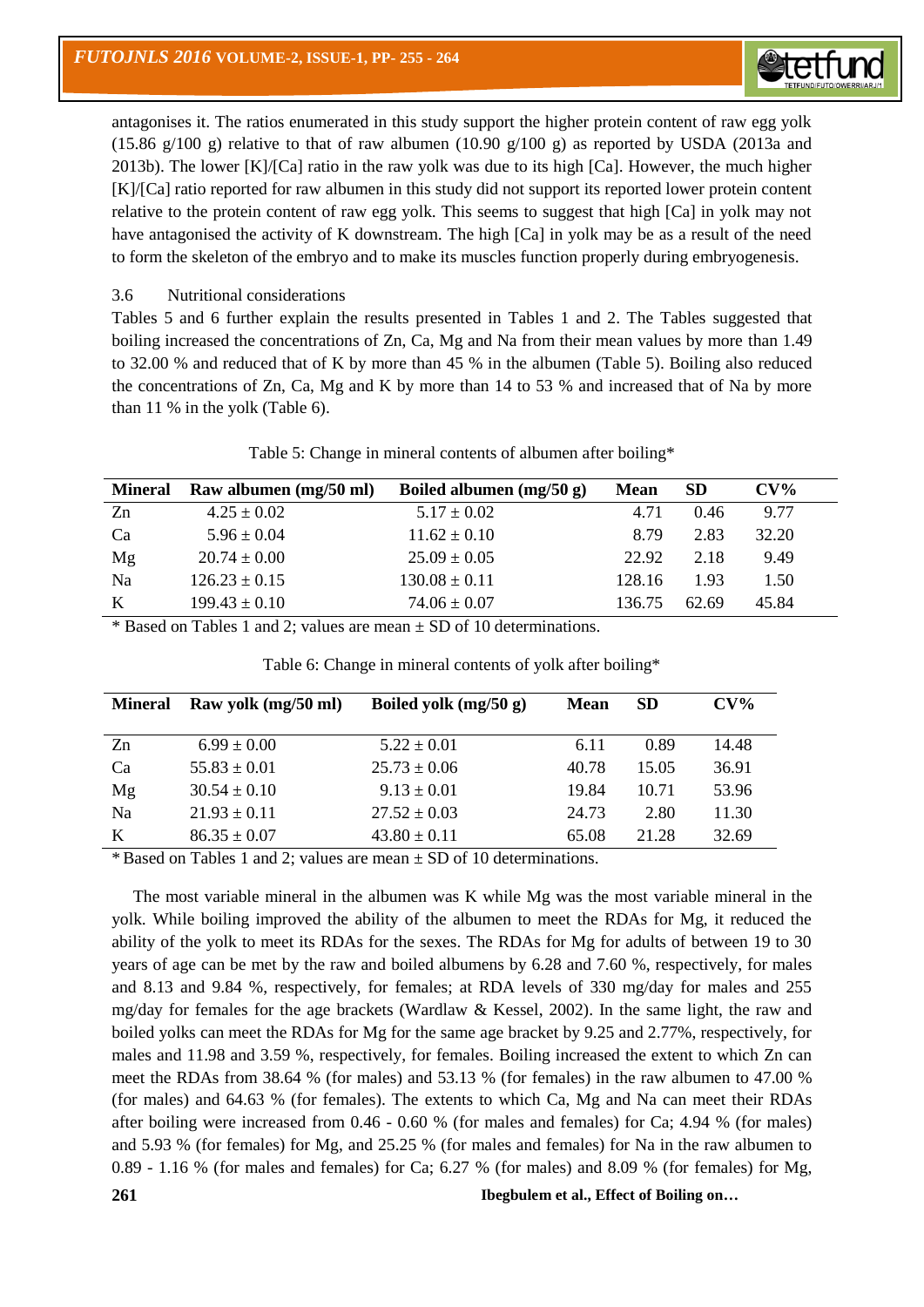antagonises it. The ratios enumerated in this study support the higher protein content of raw egg yolk (15.86 g/100 g) relative to that of raw albumen (10.90 g/100 g) as reported by USDA (2013a and 2013b). The lower  $[K]/[Ca]$  ratio in the raw yolk was due to its high  $[Ca]$ . However, the much higher [K]/[Ca] ratio reported for raw albumen in this study did not support its reported lower protein content relative to the protein content of raw egg yolk. This seems to suggest that high [Ca] in yolk may not have antagonised the activity of K downstream. The high [Ca] in yolk may be as a result of the need to form the skeleton of the embryo and to make its muscles function properly during embryogenesis.

**Stetft** 

#### 3.6 Nutritional considerations

Tables 5 and 6 further explain the results presented in Tables 1 and 2. The Tables suggested that boiling increased the concentrations of Zn, Ca, Mg and Na from their mean values by more than 1.49 to 32.00 % and reduced that of K by more than 45 % in the albumen (Table 5). Boiling also reduced the concentrations of Zn, Ca, Mg and K by more than 14 to 53 % and increased that of Na by more than 11 % in the yolk (Table 6).

| <b>Mineral</b> | Raw albumen (mg/50 ml) | Boiled albumen $(mg/50 g)$ | <b>Mean</b> | <b>SD</b> | $CV\%$ |
|----------------|------------------------|----------------------------|-------------|-----------|--------|
| Zn             | $4.25 \pm 0.02$        | $5.17 \pm 0.02$            | 4.71        | 0.46      | 9.77   |
| Ca             | $5.96 \pm 0.04$        | $11.62 \pm 0.10$           | 8.79        | 2.83      | 32.20  |
| Mg             | $20.74 \pm 0.00$       | $25.09 \pm 0.05$           | 22.92       | 2.18      | 9.49   |
| Na             | $126.23 \pm 0.15$      | $130.08 \pm 0.11$          | 128.16      | 1.93      | 1.50   |
| K              | $199.43 \pm 0.10$      | $74.06 \pm 0.07$           | 136.75      | 62.69     | 45.84  |

Table 5: Change in mineral contents of albumen after boiling\*

 $*$  Based on Tables 1 and 2; values are mean  $\pm$  SD of 10 determinations.

| <b>Mineral</b> | Raw yolk (mg/50 ml) | Boiled yolk $(mg/50 g)$ | <b>Mean</b> | <b>SD</b> | $CV\%$ |
|----------------|---------------------|-------------------------|-------------|-----------|--------|
| Zn             | $6.99 \pm 0.00$     | $5.22 \pm 0.01$         | 6.11        | 0.89      | 14.48  |
| Ca             | $55.83 \pm 0.01$    | $25.73 \pm 0.06$        | 40.78       | 15.05     | 36.91  |
| Mg             | $30.54 \pm 0.10$    | $9.13 \pm 0.01$         | 19.84       | 10.71     | 53.96  |
| Na             | $21.93 \pm 0.11$    | $27.52 \pm 0.03$        | 24.73       | 2.80      | 11.30  |
| K              | $86.35 \pm 0.07$    | $43.80 \pm 0.11$        | 65.08       | 21.28     | 32.69  |

Table 6: Change in mineral contents of yolk after boiling\*

 $*$  Based on Tables 1 and 2; values are mean  $\pm$  SD of 10 determinations.

 The most variable mineral in the albumen was K while Mg was the most variable mineral in the yolk. While boiling improved the ability of the albumen to meet the RDAs for Mg, it reduced the ability of the yolk to meet its RDAs for the sexes. The RDAs for Mg for adults of between 19 to 30 years of age can be met by the raw and boiled albumens by 6.28 and 7.60 %, respectively, for males and 8.13 and 9.84 %, respectively, for females; at RDA levels of 330 mg/day for males and 255 mg/day for females for the age brackets (Wardlaw & Kessel, 2002). In the same light, the raw and boiled yolks can meet the RDAs for Mg for the same age bracket by 9.25 and 2.77%, respectively, for males and 11.98 and 3.59 %, respectively, for females. Boiling increased the extent to which Zn can meet the RDAs from 38.64 % (for males) and 53.13 % (for females) in the raw albumen to 47.00 % (for males) and 64.63 % (for females). The extents to which Ca, Mg and Na can meet their RDAs after boiling were increased from 0.46 - 0.60 % (for males and females) for Ca; 4.94 % (for males) and 5.93 % (for females) for Mg, and 25.25 % (for males and females) for Na in the raw albumen to 0.89 - 1.16 % (for males and females) for Ca; 6.27 % (for males) and 8.09 % (for females) for Mg,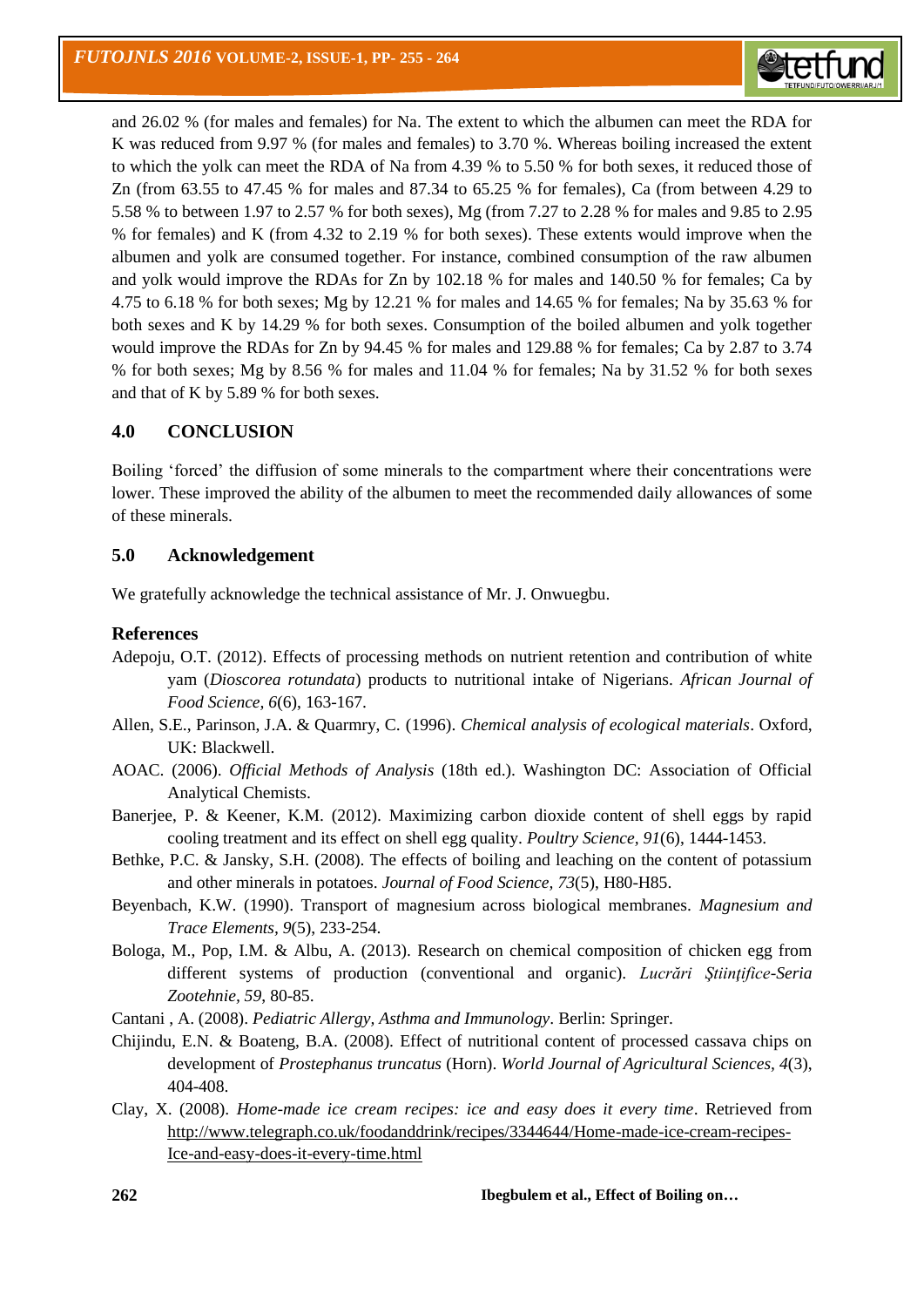

and 26.02 % (for males and females) for Na. The extent to which the albumen can meet the RDA for K was reduced from 9.97 % (for males and females) to 3.70 %. Whereas boiling increased the extent to which the yolk can meet the RDA of Na from 4.39 % to 5.50 % for both sexes, it reduced those of Zn (from 63.55 to 47.45 % for males and 87.34 to 65.25 % for females), Ca (from between 4.29 to 5.58 % to between 1.97 to 2.57 % for both sexes), Mg (from 7.27 to 2.28 % for males and 9.85 to 2.95 % for females) and K (from 4.32 to 2.19 % for both sexes). These extents would improve when the albumen and yolk are consumed together. For instance, combined consumption of the raw albumen and yolk would improve the RDAs for Zn by 102.18 % for males and 140.50 % for females; Ca by 4.75 to 6.18 % for both sexes; Mg by 12.21 % for males and 14.65 % for females; Na by 35.63 % for both sexes and K by 14.29 % for both sexes. Consumption of the boiled albumen and yolk together would improve the RDAs for Zn by 94.45 % for males and 129.88 % for females; Ca by 2.87 to 3.74 % for both sexes; Mg by 8.56 % for males and 11.04 % for females; Na by 31.52 % for both sexes and that of K by 5.89 % for both sexes.

# **4.0 CONCLUSION**

Boiling 'forced' the diffusion of some minerals to the compartment where their concentrations were lower. These improved the ability of the albumen to meet the recommended daily allowances of some of these minerals.

# **5.0 Acknowledgement**

We gratefully acknowledge the technical assistance of Mr. J. Onwuegbu.

### **References**

- Adepoju, O.T. (2012). Effects of processing methods on nutrient retention and contribution of white yam (*Dioscorea rotundata*) products to nutritional intake of Nigerians. *African Journal of Food Science, 6*(6), 163-167.
- Allen, S.E., Parinson, J.A. & Quarmry, C. (1996). *Chemical analysis of ecological materials*. Oxford, UK: Blackwell.
- AOAC. (2006). *Official Methods of Analysis* (18th ed.). Washington DC: Association of Official Analytical Chemists.
- Banerjee, P. & Keener, K.M. (2012). Maximizing carbon dioxide content of shell eggs by rapid cooling treatment and its effect on shell egg quality. *Poultry Science, 91*(6), 1444-1453.
- Bethke, P.C. & Jansky, S.H. (2008). The effects of boiling and leaching on the content of potassium and other minerals in potatoes. *Journal of Food Science, 73*(5), H80-H85.
- Beyenbach, K.W. (1990). Transport of magnesium across biological membranes. *Magnesium and Trace Elements, 9*(5), 233-254.
- Bologa, M., Pop, I.M. & Albu, A. (2013). Research on chemical composition of chicken egg from different systems of production (conventional and organic). *Lucrări Ştiinţifice-Seria Zootehnie, 59*, 80-85.
- Cantani , A. (2008). *Pediatric Allergy, Asthma and Immunology*. Berlin: Springer.
- Chijindu, E.N. & Boateng, B.A. (2008). Effect of nutritional content of processed cassava chips on development of *Prostephanus truncatus* (Horn). *World Journal of Agricultural Sciences, 4*(3), 404-408.
- Clay, X. (2008). *Home-made ice cream recipes: ice and easy does it every time*. Retrieved from [http://www.telegraph.co.uk/foodanddrink/recipes/3344644/Home-made-ice-cream-recipes-](http://www.telegraph.co.uk/foodanddrink/recipes/3344644/Home-made-ice-cream-recipes-Ice-and-easy-does-it-every-time.html)[Ice-and-easy-does-it-every-time.html](http://www.telegraph.co.uk/foodanddrink/recipes/3344644/Home-made-ice-cream-recipes-Ice-and-easy-does-it-every-time.html)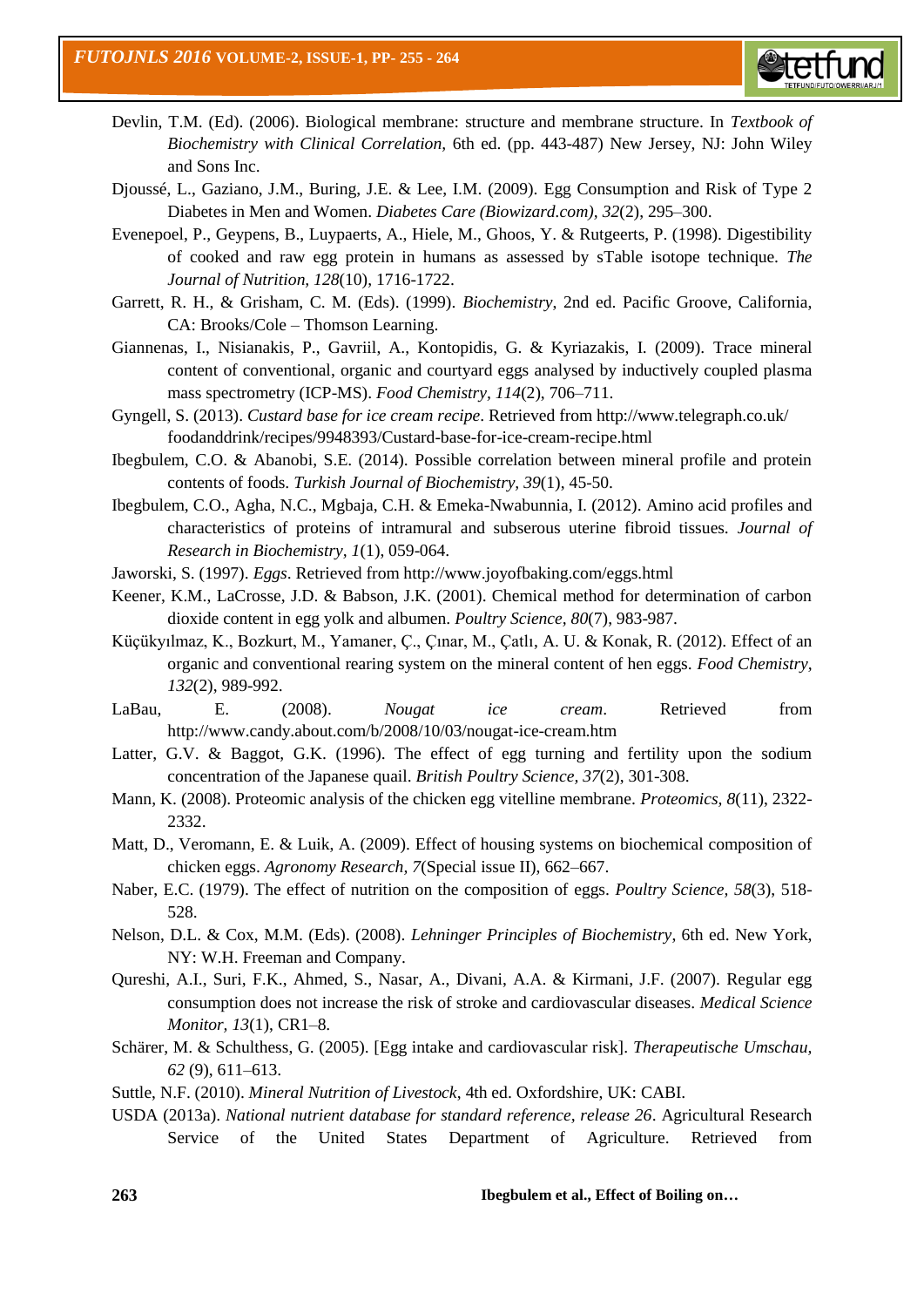

- Devlin, T.M. (Ed). (2006). Biological membrane: structure and membrane structure. In *Textbook of Biochemistry with Clinical Correlation,* 6th ed. (pp. 443-487) New Jersey, NJ: John Wiley and Sons Inc.
- Djoussé, L., Gaziano, J.M., Buring, J.E. & Lee, I.M. (2009). Egg Consumption and Risk of Type 2 Diabetes in Men and Women. *Diabetes Care (Biowizard.com), 32*(2), 295–300.
- Evenepoel, P., Geypens, B., Luypaerts, A., Hiele, M., Ghoos, Y. & Rutgeerts, P. (1998). Digestibility of cooked and raw egg protein in humans as assessed by sTable isotope technique. *The Journal of Nutrition, 128*(10), 1716-1722.
- Garrett, R. H., & Grisham, C. M. (Eds). (1999). *Biochemistry*, 2nd ed. Pacific Groove, California, CA: Brooks/Cole – Thomson Learning.
- Giannenas, I., Nisianakis, P., Gavriil, A., Kontopidis, G. & Kyriazakis, I. (2009). Trace mineral content of conventional, organic and courtyard eggs analysed by inductively coupled plasma mass spectrometry (ICP-MS). *Food Chemistry, 114*(2), 706–711.
- Gyngell, S. (2013). *Custard base for ice cream recipe*. Retrieved from<http://www.telegraph.co.uk/> foodanddrink/recipes/9948393/Custard-base-for-ice-cream-recipe.html
- Ibegbulem, C.O. & Abanobi, S.E. (2014). Possible correlation between mineral profile and protein contents of foods. *Turkish Journal of Biochemistry, 39*(1), 45-50.
- Ibegbulem, C.O., Agha, N.C., Mgbaja, C.H. & Emeka-Nwabunnia, I. (2012). Amino acid profiles and characteristics of proteins of intramural and subserous uterine fibroid tissues. *Journal of Research in Biochemistry, 1*(1), 059-064.
- Jaworski, S. (1997). *Eggs*. Retrieved from http://www.joyofbaking.com/eggs.html
- Keener, K.M., LaCrosse, J.D. & Babson, J.K. (2001). Chemical method for determination of carbon dioxide content in egg yolk and albumen. *Poultry Science, 80*(7), 983-987.
- Küçükyılmaz, K., Bozkurt, M., Yamaner, Ç., Çınar, M., Çatlı, A. U. & Konak, R. (2012). Effect of an organic and conventional rearing system on the mineral content of hen eggs. *Food Chemistry, 132*(2), 989-992.
- LaBau, E. (2008). *Nougat ice cream*. Retrieved from http://www.candy.about.com/b/2008/10/03/nougat-ice-cream.htm
- Latter, G.V. & Baggot, G.K. (1996). The effect of egg turning and fertility upon the sodium concentration of the Japanese quail. *British Poultry Science, 37*(2), 301-308.
- Mann, K. (2008). Proteomic analysis of the chicken egg vitelline membrane. *Proteomics, 8*(11), 2322- 2332.
- Matt, D., Veromann, E. & Luik, A. (2009). Effect of housing systems on biochemical composition of chicken eggs. *Agronomy Research, 7*(Special issue II), 662–667.
- Naber, E.C. (1979). The effect of nutrition on the composition of eggs. *Poultry Science, 58*(3), 518- 528.
- Nelson, D.L. & Cox, M.M. (Eds). (2008). *Lehninger Principles of Biochemistry*, 6th ed. New York, NY: W.H. Freeman and Company.
- Qureshi, A.I., Suri, F.K., Ahmed, S., Nasar, A., Divani, A.A. & Kirmani, J.F. (2007). Regular egg consumption does not increase the risk of stroke and cardiovascular diseases. *Medical Science Monitor, 13*(1), CR1–8.
- Schärer, M. & Schulthess, G. (2005). [Egg intake and cardiovascular risk]. *Therapeutische Umschau, 62* (9), 611–613.
- Suttle, N.F. (2010). *Mineral Nutrition of Livestock*, 4th ed. Oxfordshire, UK: CABI.
- USDA (2013a). *National nutrient database for standard reference, release 26*. Agricultural Research Service of the United States Department of Agriculture. Retrieved from